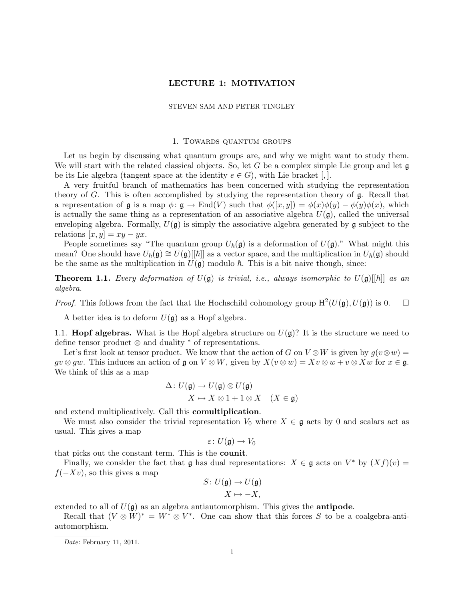# LECTURE 1: MOTIVATION

#### STEVEN SAM AND PETER TINGLEY

## 1. Towards quantum groups

Let us begin by discussing what quantum groups are, and why we might want to study them. We will start with the related classical objects. So, let  $G$  be a complex simple Lie group and let  $\mathfrak g$ be its Lie algebra (tangent space at the identity  $e \in G$ ), with Lie bracket [,].

A very fruitful branch of mathematics has been concerned with studying the representation theory of G. This is often accomplished by studying the representation theory of g. Recall that a representation of g is a map  $\phi: \mathfrak{g} \to \text{End}(V)$  such that  $\phi([x, y]) = \phi(x)\phi(y) - \phi(y)\phi(x)$ , which is actually the same thing as a representation of an associative algebra  $U(\mathfrak{g})$ , called the universal enveloping algebra. Formally,  $U(\mathfrak{g})$  is simply the associative algebra generated by  $\mathfrak{g}$  subject to the relations  $[x, y] = xy - yx$ .

People sometimes say "The quantum group  $U_{\hbar}(\mathfrak{g})$  is a deformation of  $U(\mathfrak{g})$ ." What might this mean? One should have  $U_{\hbar}(\mathfrak{g}) \cong U(\mathfrak{g})[[\hbar]]$  as a vector space, and the multiplication in  $U_{\hbar}(\mathfrak{g})$  should be the same as the multiplication in  $U(\mathfrak{g})$  modulo  $\hbar$ . This is a bit naive though, since:

**Theorem 1.1.** Every deformation of  $U(\mathfrak{g})$  is trivial, i.e., always isomorphic to  $U(\mathfrak{g})[[\hbar]]$  as an algebra.

*Proof.* This follows from the fact that the Hochschild cohomology group  $H^2(U(\mathfrak{g}), U(\mathfrak{g}))$  is 0.  $\Box$ 

A better idea is to deform  $U(\mathfrak{g})$  as a Hopf algebra.

1.1. **Hopf algebras.** What is the Hopf algebra structure on  $U(\mathfrak{g})$ ? It is the structure we need to define tensor product ⊗ and duality <sup>∗</sup> of representations.

Let's first look at tensor product. We know that the action of G on  $V \otimes W$  is given by  $g(v \otimes w) =$  $gv \otimes gw$ . This induces an action of  $\mathfrak{g}$  on  $V \otimes W$ , given by  $X(v \otimes w) = Xv \otimes w + v \otimes Xw$  for  $x \in \mathfrak{g}$ . We think of this as a map

$$
\Delta: U(\mathfrak{g}) \to U(\mathfrak{g}) \otimes U(\mathfrak{g})
$$

$$
X \mapsto X \otimes 1 + 1 \otimes X \quad (X \in \mathfrak{g})
$$

and extend multiplicatively. Call this comultiplication.

We must also consider the trivial representation  $V_0$  where  $X \in \mathfrak{g}$  acts by 0 and scalars act as usual. This gives a map

$$
\varepsilon\colon U(\mathfrak{g})\to V_0
$$

that picks out the constant term. This is the counit.

Finally, we consider the fact that  $\mathfrak g$  has dual representations:  $X \in \mathfrak g$  acts on  $V^*$  by  $(Xf)(v) =$  $f(-Xv)$ , so this gives a map

$$
S: U(\mathfrak{g}) \to U(\mathfrak{g})
$$

$$
X \mapsto -X,
$$

extended to all of  $U(\mathfrak{g})$  as an algebra antiautomorphism. This gives the **antipode**.

Recall that  $(V \otimes W)^* = W^* \otimes V^*$ . One can show that this forces S to be a coalgebra-antiautomorphism.

Date: February 11, 2011.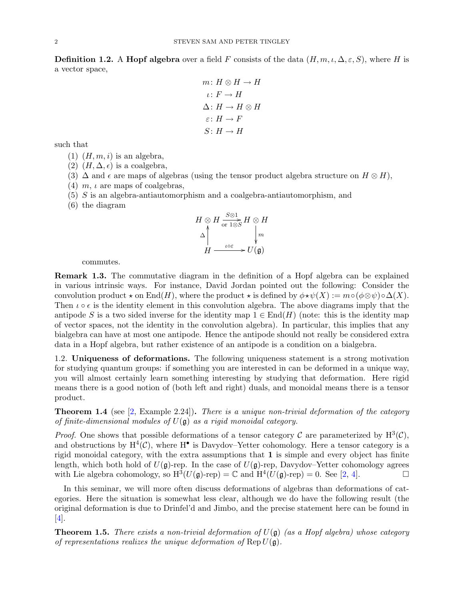**Definition 1.2.** A Hopf algebra over a field F consists of the data  $(H, m, \iota, \Delta, \varepsilon, S)$ , where H is a vector space,

$$
m: H \otimes H \to H
$$

$$
\iota: F \to H
$$

$$
\Delta: H \to H \otimes H
$$

$$
\varepsilon: H \to F
$$

$$
S: H \to H
$$

such that

- $(1)$   $(H, m, i)$  is an algebra,
- (2)  $(H, \Delta, \epsilon)$  is a coalgebra,
- (3)  $\Delta$  and  $\epsilon$  are maps of algebras (using the tensor product algebra structure on  $H \otimes H$ ),
- (4) m,  $\iota$  are maps of coalgebras,
- $(5)$  S is an algebra-antiautomorphism and a coalgebra-antiautomorphism, and
- (6) the diagram

$$
H \otimes H \xrightarrow{\mathcal{S} \otimes 1} H \otimes H
$$
  
\n
$$
\Delta \qquad \qquad \downarrow m
$$
  
\n
$$
H \xrightarrow{\iota \circ \varepsilon} U(\mathfrak{g})
$$

commutes.

Remark 1.3. The commutative diagram in the definition of a Hopf algebra can be explained in various intrinsic ways. For instance, David Jordan pointed out the following: Consider the convolution product  $\star$  on End(H), where the product  $\star$  is defined by  $\phi \star \psi(X) := m \circ (\phi \otimes \psi) \circ \Delta(X)$ . Then  $\iota \circ \epsilon$  is the identity element in this convolution algebra. The above diagrams imply that the antipode S is a two sided inverse for the identity map  $1 \in End(H)$  (note: this is the identity map of vector spaces, not the identity in the convolution algebra). In particular, this implies that any bialgebra can have at most one antipode. Hence the antipode should not really be considered extra data in a Hopf algebra, but rather existence of an antipode is a condition on a bialgebra.

1.2. Uniqueness of deformations. The following uniqueness statement is a strong motivation for studying quantum groups: if something you are interested in can be deformed in a unique way, you will almost certainly learn something interesting by studying that deformation. Here rigid means there is a good notion of (both left and right) duals, and monoidal means there is a tensor product.

Theorem 1.4 (see [\[2,](#page-5-0) Example 2.24]). There is a unique non-trivial deformation of the category of finite-dimensional modules of  $U(\mathfrak{g})$  as a rigid monoidal category.

*Proof.* One shows that possible deformations of a tensor category C are parameterized by  $H^3(\mathcal{C})$ , and obstructions by  $H^4(\mathcal{C})$ , where  $H^{\bullet}$  is Davydov–Yetter cohomology. Here a tensor category is a rigid monoidal category, with the extra assumptions that 1 is simple and every object has finite length, which both hold of  $U(\mathfrak{g})$ -rep. In the case of  $U(\mathfrak{g})$ -rep, Davydov–Yetter cohomology agrees with Lie algebra cohomology, so  $H^3(U(\mathfrak{g})\text{-rep}) = \mathbb{C}$  and  $H^4(U(\mathfrak{g})\text{-rep}) = 0$ . See [\[2,](#page-5-0) [4\]](#page-5-1).

In this seminar, we will more often discuss deformations of algebras than deformations of categories. Here the situation is somewhat less clear, although we do have the following result (the original deformation is due to Drinfel'd and Jimbo, and the precise statement here can be found in  $|4|$ .

**Theorem 1.5.** There exists a non-trivial deformation of  $U(\mathfrak{g})$  (as a Hopf algebra) whose category of representations realizes the unique deformation of  $\text{Rep }U(\mathfrak{g})$ .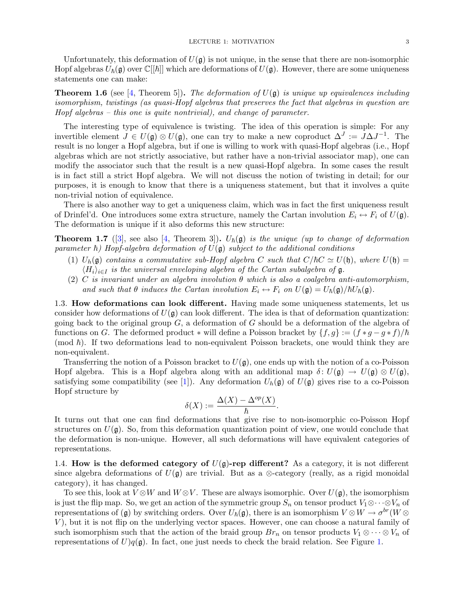Unfortunately, this deformation of  $U(\mathfrak{g})$  is not unique, in the sense that there are non-isomorphic Hopf algebras  $U_h(\mathfrak{g})$  over  $\mathbb{C}[[\hbar]]$  which are deformations of  $U(\mathfrak{g})$ . However, there are some uniqueness statements one can make:

**Theorem 1.6** (see [\[4,](#page-5-1) Theorem 5]). The deformation of  $U(\mathfrak{g})$  is unique up equivalences including isomorphism, twistings (as quasi-Hopf algebras that preserves the fact that algebras in question are Hopf algebras – this one is quite nontrivial), and change of parameter.

The interesting type of equivalence is twisting. The idea of this operation is simple: For any invertible element  $J \in U(\mathfrak{g}) \otimes U(\mathfrak{g})$ , one can try to make a new coproduct  $\Delta^J := J \Delta J^{-1}$ . The result is no longer a Hopf algebra, but if one is willing to work with quasi-Hopf algebras (i.e., Hopf algebras which are not strictly associative, but rather have a non-trivial associator map), one can modify the associator such that the result is a new quasi-Hopf algebra. In some cases the result is in fact still a strict Hopf algebra. We will not discuss the notion of twisting in detail; for our purposes, it is enough to know that there is a uniqueness statement, but that it involves a quite non-trivial notion of equivalence.

There is also another way to get a uniqueness claim, which was in fact the first uniqueness result of Drinfel'd. One introduces some extra structure, namely the Cartan involution  $E_i \leftrightarrow F_i$  of  $U(\mathfrak{g})$ . The deformation is unique if it also deforms this new structure:

**Theorem 1.7** ([\[3\]](#page-5-2), see also [\[4,](#page-5-1) Theorem 3]).  $U_{\hbar}(g)$  is the unique (up to change of deformation parameter  $\hbar$ ) Hopf-algebra deformation of  $U(\mathfrak{g})$  subject to the additional conditions

- (1)  $U_h(\mathfrak{g})$  contains a commutative sub-Hopf algebra C such that  $C/\hbar C \simeq U(\mathfrak{h})$ , where  $U(\mathfrak{h}) =$  $\langle H_i \rangle_{i \in I}$  is the universal enveloping algebra of the Cartan subalgebra of  $\mathfrak{g}$ .
- (2) C is invariant under an algebra involution  $\theta$  which is also a coalgebra anti-automorphism, and such that  $\theta$  induces the Cartan involution  $E_i \leftrightarrow F_i$  on  $U(\mathfrak{g}) = U_{\hbar}(\mathfrak{g})/\hbar U_{\hbar}(\mathfrak{g}).$

1.3. How deformations can look different. Having made some uniqueness statements, let us consider how deformations of  $U(\mathfrak{g})$  can look different. The idea is that of deformation quantization: going back to the original group  $G$ , a deformation of  $G$  should be a deformation of the algebra of functions on G. The deformed product  $*$  will define a Poisson bracket by  $\{f, g\} := (f * g - g * f)/\hbar$  $\pmod{\hbar}$ . If two deformations lead to non-equivalent Poisson brackets, one would think they are non-equivalent.

Transferring the notion of a Poisson bracket to  $U(\mathfrak{g})$ , one ends up with the notion of a co-Poisson Hopf algebra. This is a Hopf algebra along with an additional map  $\delta: U(\mathfrak{g}) \to U(\mathfrak{g}) \otimes U(\mathfrak{g})$ , satisfying some compatibility (see [\[1\]](#page-5-3)). Any deformation  $U_h(\mathfrak{g})$  of  $U(\mathfrak{g})$  gives rise to a co-Poisson Hopf structure by

$$
\delta(X) := \frac{\Delta(X) - \Delta^{op}(X)}{\hbar}.
$$

It turns out that one can find deformations that give rise to non-isomorphic co-Poisson Hopf structures on  $U(\mathfrak{g})$ . So, from this deformation quantization point of view, one would conclude that the deformation is non-unique. However, all such deformations will have equivalent categories of representations.

1.4. How is the deformed category of  $U(\mathfrak{g})$ -rep different? As a category, it is not different since algebra deformations of  $U(\mathfrak{g})$  are trivial. But as a ⊗-category (really, as a rigid monoidal category), it has changed.

To see this, look at  $V \otimes W$  and  $W \otimes V$ . These are always isomorphic. Over  $U(\mathfrak{g})$ , the isomorphism is just the flip map. So, we get an action of the symmetric group  $S_n$  on tensor product  $V_1 \otimes \cdots \otimes V_n$  of representations of (g) by switching orders. Over  $U_{\hbar}(g)$ , there is an isomorphism  $V \otimes W \to \sigma^{br}(W \otimes$ V), but it is not flip on the underlying vector spaces. However, one can choose a natural family of such isomorphism such that the action of the braid group  $Br_n$  on tensor products  $V_1 \otimes \cdots \otimes V_n$  of representations of  $U)q(\mathfrak{g})$ . In fact, one just needs to check the braid relation. See Figure [1.](#page-3-0)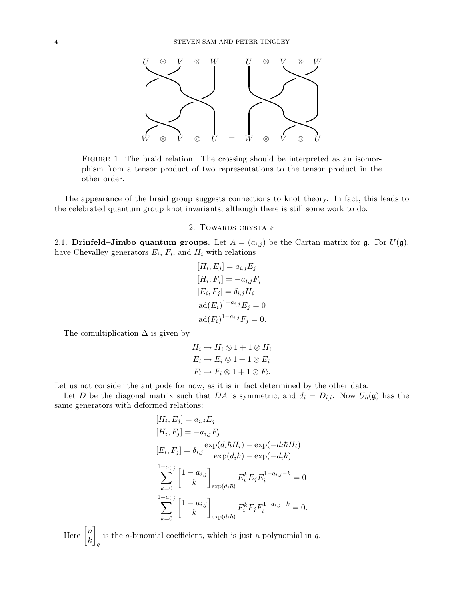

<span id="page-3-0"></span>FIGURE 1. The braid relation. The crossing should be interpreted as an isomorphism from a tensor product of two representations to the tensor product in the other order.

The appearance of the braid group suggests connections to knot theory. In fact, this leads to the celebrated quantum group knot invariants, although there is still some work to do.

## 2. Towards crystals

2.1. Drinfeld–Jimbo quantum groups. Let  $A = (a_{i,j})$  be the Cartan matrix for  $\mathfrak{g}$ . For  $U(\mathfrak{g})$ , have Chevalley generators  $E_i$ ,  $F_i$ , and  $H_i$  with relations

$$
[H_i, E_j] = a_{i,j}E_j
$$
  
\n
$$
[H_i, F_j] = -a_{i,j}F_j
$$
  
\n
$$
[E_i, F_j] = \delta_{i,j}H_i
$$
  
\n
$$
ad(E_i)^{1-a_{i,j}}E_j = 0
$$
  
\n
$$
ad(F_i)^{1-a_{i,j}}F_j = 0.
$$

The comultiplication  $\Delta$  is given by

$$
H_i \mapsto H_i \otimes 1 + 1 \otimes H_i
$$
  
\n
$$
E_i \mapsto E_i \otimes 1 + 1 \otimes E_i
$$
  
\n
$$
F_i \mapsto F_i \otimes 1 + 1 \otimes F_i.
$$

Let us not consider the antipode for now, as it is in fact determined by the other data.

Let D be the diagonal matrix such that DA is symmetric, and  $d_i = D_{i,i}$ . Now  $U_{\hbar}(\mathfrak{g})$  has the same generators with deformed relations:

$$
[H_i, E_j] = a_{i,j} E_j
$$
  
\n
$$
[H_i, F_j] = -a_{i,j} F_j
$$
  
\n
$$
[E_i, F_j] = \delta_{i,j} \frac{\exp(d_i \hbar H_i) - \exp(-d_i \hbar H_i)}{\exp(d_i \hbar) - \exp(-d_i \hbar)}
$$
  
\n
$$
\sum_{k=0}^{1-a_{i,j}} \begin{bmatrix} 1 - a_{i,j} \\ k \end{bmatrix}_{\exp(d_i \hbar)} E_i^k E_j E_i^{1-a_{i,j} - k} = 0
$$
  
\n
$$
\sum_{k=0}^{1-a_{i,j}} \begin{bmatrix} 1 - a_{i,j} \\ k \end{bmatrix}_{\exp(d_i \hbar)} F_i^k F_j F_i^{1-a_{i,j} - k} = 0.
$$

Here  $\begin{bmatrix} n \\ n \end{bmatrix}$ k 1 q is the  $q$ -binomial coefficient, which is just a polynomial in  $q$ .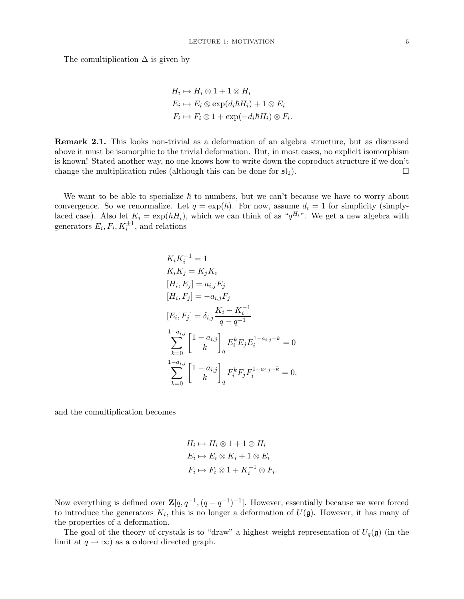The comultiplication  $\Delta$  is given by

$$
H_i \mapsto H_i \otimes 1 + 1 \otimes H_i
$$
  
\n
$$
E_i \mapsto E_i \otimes \exp(d_i \hbar H_i) + 1 \otimes E_i
$$
  
\n
$$
F_i \mapsto F_i \otimes 1 + \exp(-d_i \hbar H_i) \otimes F_i.
$$

Remark 2.1. This looks non-trivial as a deformation of an algebra structure, but as discussed above it must be isomorphic to the trivial deformation. But, in most cases, no explicit isomorphism is known! Stated another way, no one knows how to write down the coproduct structure if we don't change the multiplication rules (although this can be done for  $\mathfrak{sl}_2$ ).

We want to be able to specialize  $\hbar$  to numbers, but we can't because we have to worry about convergence. So we renormalize. Let  $q = \exp(\hbar)$ . For now, assume  $d_i = 1$  for simplicity (simplylaced case). Also let  $K_i = \exp(\hbar H_i)$ , which we can think of as " $q^{H_i}$ ". We get a new algebra with generators  $E_i, F_i, K_i^{\pm 1}$ , and relations

$$
K_i K_i^{-1} = 1
$$
  
\n
$$
K_i K_j = K_j K_i
$$
  
\n
$$
[H_i, E_j] = a_{i,j} E_j
$$
  
\n
$$
[H_i, F_j] = -a_{i,j} F_j
$$
  
\n
$$
[E_i, F_j] = \delta_{i,j} \frac{K_i - K_i^{-1}}{q - q^{-1}}
$$
  
\n
$$
\sum_{k=0}^{1-a_{i,j}} \begin{bmatrix} 1 - a_{i,j} \\ k \end{bmatrix}_q E_i^k E_j E_i^{1-a_{i,j} - k} = 0
$$
  
\n
$$
\sum_{k=0}^{1-a_{i,j}} \begin{bmatrix} 1 - a_{i,j} \\ k \end{bmatrix}_q F_i^k F_j F_i^{1-a_{i,j} - k} = 0.
$$

and the comultiplication becomes

$$
H_i \mapsto H_i \otimes 1 + 1 \otimes H_i
$$
  
\n
$$
E_i \mapsto E_i \otimes K_i + 1 \otimes E_i
$$
  
\n
$$
F_i \mapsto F_i \otimes 1 + K_i^{-1} \otimes F_i.
$$

Now everything is defined over  $\mathbf{Z}[q, q^{-1}, (q - q^{-1})^{-1}]$ . However, essentially because we were forced to introduce the generators  $K_i$ , this is no longer a deformation of  $U(\mathfrak{g})$ . However, it has many of the properties of a deformation.

The goal of the theory of crystals is to "draw" a highest weight representation of  $U_q(\mathfrak{g})$  (in the limit at  $q \to \infty$ ) as a colored directed graph.